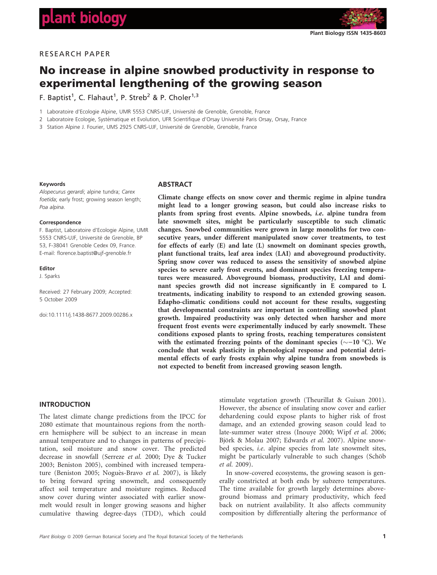

# RESEARCH PAPER

# No increase in alpine snowbed productivity in response to experimental lengthening of the growing season

F. Baptist<sup>1</sup>, C. Flahaut<sup>1</sup>, P. Streb<sup>2</sup> & P. Choler<sup>1,3</sup>

1 Laboratoire d'Ecologie Alpine, UMR 5553 CNRS-UJF, Université de Grenoble, Grenoble, France

2 Laboratoire Ecologie, Systématique et Evolution, UFR Scientifique d'Orsay Université Paris Orsay, Orsay, France

3 Station Alpine J. Fourier, UMS 2925 CNRS-UJF, Université de Grenoble, Grenoble, France

#### Keywords

Alopecurus gerardi; alpine tundra; Carex foetida; early frost; growing season length; Poa alpina.

#### **Correspondence**

F. Baptist, Laboratoire d'Ecologie Alpine, UMR 5553 CNRS-UJF, Université de Grenoble, BP 53, F-38041 Grenoble Cedex 09, France. E-mail: florence.baptist@ujf-grenoble.fr

#### Editor

J. Sparks

Received: 27 February 2009; Accepted: 5 October 2009

doi:10.1111/j.1438-8677.2009.00286.x

# ABSTRACT

Climate change effects on snow cover and thermic regime in alpine tundra might lead to a longer growing season, but could also increase risks to plants from spring frost events. Alpine snowbeds, i.e. alpine tundra from late snowmelt sites, might be particularly susceptible to such climatic changes. Snowbed communities were grown in large monoliths for two consecutive years, under different manipulated snow cover treatments, to test for effects of early (E) and late (L) snowmelt on dominant species growth, plant functional traits, leaf area index (LAI) and aboveground productivity. Spring snow cover was reduced to assess the sensitivity of snowbed alpine species to severe early frost events, and dominant species freezing temperatures were measured. Aboveground biomass, productivity, LAI and dominant species growth did not increase significantly in E compared to L treatments, indicating inability to respond to an extended growing season. Edapho-climatic conditions could not account for these results, suggesting that developmental constraints are important in controlling snowbed plant growth. Impaired productivity was only detected when harsher and more frequent frost events were experimentally induced by early snowmelt. These conditions exposed plants to spring frosts, reaching temperatures consistent with the estimated freezing points of the dominant species ( $\sim$ –10 °C). We conclude that weak plasticity in phenological response and potential detrimental effects of early frosts explain why alpine tundra from snowbeds is not expected to benefit from increased growing season length.

# INTRODUCTION

The latest climate change predictions from the IPCC for 2080 estimate that mountainous regions from the northern hemisphere will be subject to an increase in mean annual temperature and to changes in patterns of precipitation, soil moisture and snow cover. The predicted decrease in snowfall (Serreze et al. 2000; Dye & Tucker 2003; Beniston 2005), combined with increased temperature (Beniston 2005; Noguès-Bravo et al. 2007), is likely to bring forward spring snowmelt, and consequently affect soil temperature and moisture regimes. Reduced snow cover during winter associated with earlier snowmelt would result in longer growing seasons and higher cumulative thawing degree-days (TDD), which could stimulate vegetation growth (Theurillat & Guisan 2001). However, the absence of insulating snow cover and earlier dehardening could expose plants to higher risk of frost damage, and an extended growing season could lead to late-summer water stress (Inouye 2000; Wipf et al. 2006; Björk & Molau 2007; Edwards et al. 2007). Alpine snowbed species, i.e. alpine species from late snowmelt sites, might be particularly vulnerable to such changes (Schöb et al. 2009).

In snow-covered ecosystems, the growing season is generally constricted at both ends by subzero temperatures. The time available for growth largely determines aboveground biomass and primary productivity, which feed back on nutrient availability. It also affects community composition by differentially altering the performance of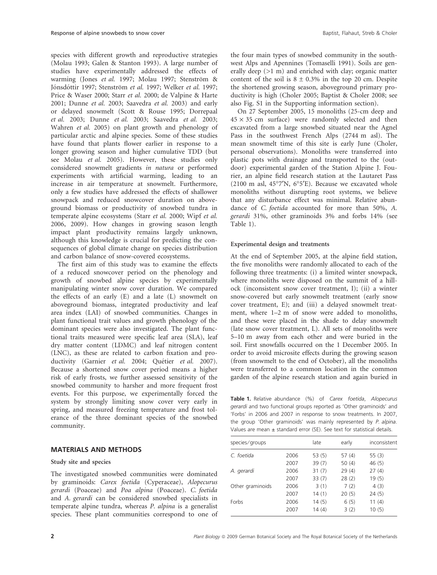species with different growth and reproductive strategies (Molau 1993; Galen & Stanton 1993). A large number of studies have experimentally addressed the effects of warming (Jones et al. 1997; Molau 1997; Stenström & Jónsdóttir 1997; Stenström et al. 1997; Welker et al. 1997; Price & Waser 2000; Starr et al. 2000; de Valpine & Harte 2001; Dunne et al. 2003; Saavedra et al. 2003) and early or delayed snowmelt (Scott & Rouse 1995; Dorrepaal et al. 2003; Dunne et al. 2003; Saavedra et al. 2003; Wahren et al. 2005) on plant growth and phenology of particular arctic and alpine species. Some of these studies have found that plants flower earlier in response to a longer growing season and higher cumulative TDD (but see Molau et al. 2005). However, these studies only considered snowmelt gradients in natura or performed experiments with artificial warming, leading to an increase in air temperature at snowmelt. Furthermore, only a few studies have addressed the effects of shallower snowpack and reduced snowcover duration on aboveground biomass or productivity of snowbed tundra in temperate alpine ecosystems (Starr et al. 2000; Wipf et al. 2006, 2009). How changes in growing season length impact plant productivity remains largely unknown, although this knowledge is crucial for predicting the consequences of global climate change on species distribution and carbon balance of snow-covered ecosystems.

The first aim of this study was to examine the effects of a reduced snowcover period on the phenology and growth of snowbed alpine species by experimentally manipulating winter snow cover duration. We compared the effects of an early (E) and a late (L) snowmelt on aboveground biomass, integrated productivity and leaf area index (LAI) of snowbed communities. Changes in plant functional trait values and growth phenology of the dominant species were also investigated. The plant functional traits measured were specific leaf area (SLA), leaf dry matter content (LDMC) and leaf nitrogen content (LNC), as these are related to carbon fixation and productivity (Garnier et al. 2004; Quétier et al. 2007). Because a shortened snow cover period means a higher risk of early frosts, we further assessed sensitivity of the snowbed community to harsher and more frequent frost events. For this purpose, we experimentally forced the system by strongly limiting snow cover very early in spring, and measured freezing temperature and frost tolerance of the three dominant species of the snowbed community.

# MATERIALS AND METHODS

#### Study site and species

The investigated snowbed communities were dominated by graminoids: Carex foetida (Cyperaceae), Alopecurus gerardi (Poaceae) and Poa alpina (Poaceae). C. foetida and A. gerardi can be considered snowbed specialists in temperate alpine tundra, whereas P. alpina is a generalist species. These plant communities correspond to one of the four main types of snowbed community in the southwest Alps and Apennines (Tomaselli 1991). Soils are generally deep (>1 m) and enriched with clay; organic matter content of the soil is  $8 \pm 0.3\%$  in the top 20 cm. Despite the shortened growing season, aboveground primary productivity is high (Choler 2005; Baptist & Choler 2008; see also Fig. S1 in the Supporting information section).

On 27 September 2005, 15 monoliths (25-cm deep and  $45 \times 35$  cm surface) were randomly selected and then excavated from a large snowbed situated near the Agnel Pass in the southwest French Alps (2744 m asl). The mean snowmelt time of this site is early June (Choler, personal observations). Monoliths were transferred into plastic pots with drainage and transported to the (outdoor) experimental garden of the Station Alpine J. Fourier, an alpine field research station at the Lautaret Pass  $(2100 \text{ m asl}, 45^{\circ}7^{\prime}\text{N}, 6^{\circ}5^{\prime}\text{E})$ . Because we excavated whole monoliths without disrupting root systems, we believe that any disturbance effect was minimal. Relative abundance of C. foetida accounted for more than 50%, A. gerardi 31%, other graminoids 3% and forbs 14% (see Table 1).

## Experimental design and treatments

At the end of September 2005, at the alpine field station, the five monoliths were randomly allocated to each of the following three treatments: (i) a limited winter snowpack, where monoliths were disposed on the summit of a hillock (inconsistent snow cover treatment, I); (ii) a winter snow-covered but early snowmelt treatment (early snow cover treatment, E); and (iii) a delayed snowmelt treatment, where 1–2 m of snow were added to monoliths, and these were placed in the shade to delay snowmelt (late snow cover treatment, L). All sets of monoliths were 5–10 m away from each other and were buried in the soil. First snowfalls occurred on the 1 December 2005. In order to avoid microsite effects during the growing season (from snowmelt to the end of October), all the monoliths were transferred to a common location in the common garden of the alpine research station and again buried in

Table 1. Relative abundance (%) of Carex foetida, Alopecurus gerardi and two functional groups reported as 'Other graminoids' and 'Forbs' in 2006 and 2007 in response to snow treatments. In 2007, the group 'Other graminoids' was mainly represented by P. alpina. Values are mean ± standard error (SE). See text for statistical details.

| species/groups   |      | late   | early    | inconsistent |
|------------------|------|--------|----------|--------------|
| C. foetida       | 2006 | 53(5)  | 57(4)    | 55(3)        |
|                  | 2007 | 39(7)  | 50 $(4)$ | 46(5)        |
| A. gerardi       | 2006 | 31(7)  | 29(4)    | 27(4)        |
|                  | 2007 | 33(7)  | 28(2)    | 19(5)        |
| Other graminoids | 2006 | 3(1)   | 7(2)     | 4(3)         |
|                  | 2007 | 14(1)  | 20(5)    | 24(5)        |
| Forbs            | 2006 | 14 (5) | 6(5)     | 11(4)        |
|                  | 2007 | 14(4)  | 3(2)     | 10(5)        |
|                  |      |        |          |              |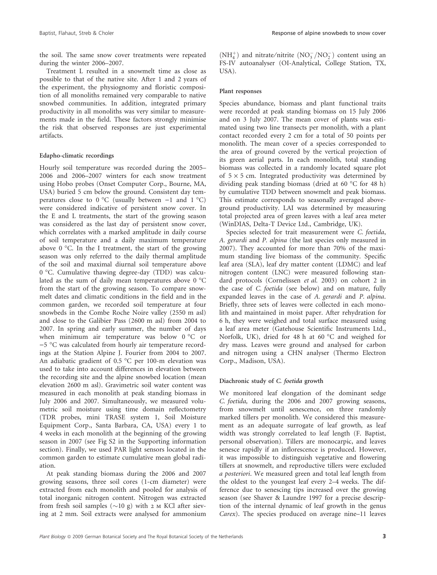the soil. The same snow cover treatments were repeated during the winter 2006–2007.

Treatment L resulted in a snowmelt time as close as possible to that of the native site. After 1 and 2 years of the experiment, the physiognomy and floristic composition of all monoliths remained very comparable to native snowbed communities. In addition, integrated primary productivity in all monoliths was very similar to measurements made in the field. These factors strongly minimise the risk that observed responses are just experimental artifacts.

#### Edapho-climatic recordings

Hourly soil temperature was recorded during the 2005– 2006 and 2006–2007 winters for each snow treatment using Hobo probes (Onset Computer Corp., Bourne, MA, USA) buried 5 cm below the ground. Consistent day temperatures close to 0  $^{\circ}$ C (usually between -1 and 1  $^{\circ}$ C) were considered indicative of persistent snow cover. In the E and L treatments, the start of the growing season was considered as the last day of persistent snow cover, which correlates with a marked amplitude in daily course of soil temperature and a daily maximum temperature above 0  $\mathrm{^{\circ}C}.$  In the I treatment, the start of the growing season was only referred to the daily thermal amplitude of the soil and maximal diurnal soil temperature above 0 °C. Cumulative thawing degree-day (TDD) was calculated as the sum of daily mean temperatures above 0  $^{\circ}\mathrm{C}$ from the start of the growing season. To compare snowmelt dates and climatic conditions in the field and in the common garden, we recorded soil temperature at four snowbeds in the Combe Roche Noire valley (2550 m asl) and close to the Galibier Pass (2600 m asl) from 2004 to 2007. In spring and early summer, the number of days when minimum air temperature was below  $0 °C$  or -5 °C was calculated from hourly air temperature recordings at the Station Alpine J. Fourier from 2004 to 2007. An adiabatic gradient of 0.5  $^{\circ} \mathrm{C}$  per 100-m elevation was used to take into account differences in elevation between the recording site and the alpine snowbed location (mean elevation 2600 m asl). Gravimetric soil water content was measured in each monolith at peak standing biomass in July 2006 and 2007. Simultaneously, we measured volumetric soil moisture using time domain reflectometry (TDR probes, mini TRASE system 1, Soil Moisture Equipment Corp., Santa Barbara, CA, USA) every 1 to 4 weeks in each monolith at the beginning of the growing season in 2007 (see Fig S2 in the Supporting information section). Finally, we used PAR light sensors located in the common garden to estimate cumulative mean global radiation.

At peak standing biomass during the 2006 and 2007 growing seasons, three soil cores (1-cm diameter) were extracted from each monolith and pooled for analysis of total inorganic nitrogen content. Nitrogen was extracted from fresh soil samples  $(\sim 10 \text{ g})$  with 2 M KCl after sieving at 2 mm. Soil extracts were analysed for ammonium

 $(NH_4^+)$  and nitrate/nitrite  $(NO_3^-/NO_2^-)$  content using an FS-IV autoanalyser (OI-Analytical, College Station, TX,  $USA$ ).

#### Plant responses

Species abundance, biomass and plant functional traits were recorded at peak standing biomass on 15 July 2006 and on 3 July 2007. The mean cover of plants was estimated using two line transects per monolith, with a plant contact recorded every 2 cm for a total of 50 points per monolith. The mean cover of a species corresponded to the area of ground covered by the vertical projection of its green aerial parts. In each monolith, total standing biomass was collected in a randomly located square plot of  $5 \times 5$  cm. Integrated productivity was determined by dividing peak standing biomass (dried at 60  $\degree$ C for 48 h) by cumulative TDD between snowmelt and peak biomass. This estimate corresponds to seasonally averaged aboveground productivity. LAI was determined by measuring total projected area of green leaves with a leaf area meter (WinDIAS, Delta-T Device Ltd., Cambridge, UK).

Species selected for trait measurement were C. foetida, A. gerardi and P. alpina (the last species only measured in 2007). They accounted for more than 70% of the maximum standing live biomass of the community. Specific leaf area (SLA), leaf dry matter content (LDMC) and leaf nitrogen content (LNC) were measured following standard protocols (Cornelissen et al. 2003) on cohort 2 in the case of C. foetida (see below) and on mature, fully expanded leaves in the case of A. gerardi and P. alpina. Briefly, three sets of leaves were collected in each monolith and maintained in moist paper. After rehydration for 6 h, they were weighed and total surface measured using a leaf area meter (Gatehouse Scientific Instruments Ltd., Norfolk, UK), dried for 48 h at 60  $^{\circ}$ C and weighed for dry mass. Leaves were ground and analysed for carbon and nitrogen using a CHN analyser (Thermo Electron Corp., Madison, USA).

## Diachronic study of C. foetida growth

We monitored leaf elongation of the dominant sedge C. foetida, during the 2006 and 2007 growing seasons, from snowmelt until senescence, on three randomly marked tillers per monolith. We considered this measurement as an adequate surrogate of leaf growth, as leaf width was strongly correlated to leaf length (F. Baptist, personal observation). Tillers are monocarpic, and leaves senesce rapidly if an inflorescence is produced. However, it was impossible to distinguish vegetative and flowering tillers at snowmelt, and reproductive tillers were excluded a posteriori. We measured green and total leaf length from the oldest to the youngest leaf every 2–4 weeks. The difference due to senescing tips increased over the growing season (see Shaver & Laundre 1997 for a precise description of the internal dynamic of leaf growth in the genus Carex). The species produced on average nine–11 leaves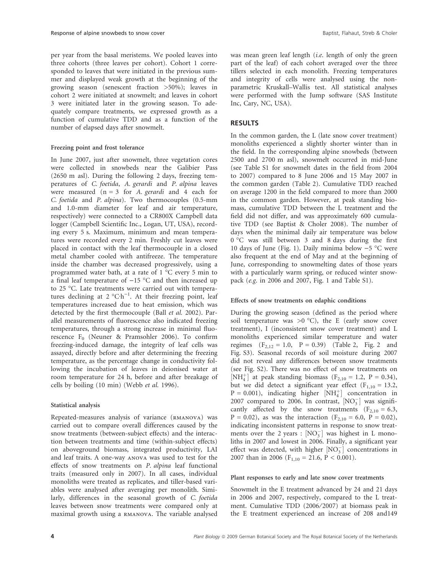per year from the basal meristems. We pooled leaves into three cohorts (three leaves per cohort). Cohort 1 corresponded to leaves that were initiated in the previous summer and displayed weak growth at the beginning of the growing season (senescent fraction >50%); leaves in cohort 2 were initiated at snowmelt; and leaves in cohort 3 were initiated later in the growing season. To adequately compare treatments, we expressed growth as a function of cumulative TDD and as a function of the number of elapsed days after snowmelt.

## Freezing point and frost tolerance

In June 2007, just after snowmelt, three vegetation cores were collected in snowbeds near the Galibier Pass (2650 m asl). During the following 2 days, freezing temperatures of C. foetida, A. gerardi and P. alpina leaves were measured  $(n = 3$  for A. gerardi and 4 each for C. foetida and P. alpina). Two thermocouples (0.5-mm and 1.0-mm diameter for leaf and air temperature, respectively) were connected to a CR800X Campbell data logger (Campbell Scientific Inc., Logan, UT, USA), recording every 5 s. Maximum, minimum and mean temperatures were recorded every 2 min. Freshly cut leaves were placed in contact with the leaf thermocouple in a closed metal chamber cooled with antifreeze. The temperature inside the chamber was decreased progressively, using a programmed water bath, at a rate of  $1 \degree C$  every 5 min to a final leaf temperature of  $-15$  °C and then increased up to 25 °C. Late treatments were carried out with temperatures declining at 2  $^{\circ}$ C·h<sup>-1</sup>. At their freezing point, leaf temperatures increased due to heat emission, which was detected by the first thermocouple (Ball et al. 2002). Parallel measurements of fluorescence also indicated freezing temperatures, through a strong increase in minimal fluorescence  $F_0$  (Neuner & Pramsohler 2006). To confirm freezing-induced damage, the integrity of leaf cells was assayed, directly before and after determining the freezing temperature, as the percentage change in conductivity following the incubation of leaves in deionised water at room temperature for 24 h, before and after breakage of cells by boiling (10 min) (Webb et al. 1996).

#### Statistical analysis

Repeated-measures analysis of variance (rmanova) was carried out to compare overall differences caused by the snow treatments (between-subject effects) and the interaction between treatments and time (within-subject effects) on aboveground biomass, integrated productivity, LAI and leaf traits. A one-way anova was used to test for the effects of snow treatments on P. alpina leaf functional traits (measured only in 2007). In all cases, individual monoliths were treated as replicates, and tiller-based variables were analysed after averaging per monolith. Similarly, differences in the seasonal growth of C. foetida leaves between snow treatments were compared only at maximal growth using a rmanova. The variable analysed

was mean green leaf length (i.e. length of only the green part of the leaf) of each cohort averaged over the three tillers selected in each monolith. Freezing temperatures and integrity of cells were analysed using the nonparametric Kruskall–Wallis test. All statistical analyses were performed with the Jump software (SAS Institute Inc, Cary, NC, USA).

## **RESULTS**

In the common garden, the L (late snow cover treatment) monoliths experienced a slightly shorter winter than in the field. In the corresponding alpine snowbeds (between 2500 and 2700 m asl), snowmelt occurred in mid-June (see Table S1 for snowmelt dates in the field from 2004 to 2007) compared to 8 June 2006 and 15 May 2007 in the common garden (Table 2). Cumulative TDD reached on average 1200 in the field compared to more than 2000 in the common garden. However, at peak standing biomass, cumulative TDD between the L treatment and the field did not differ, and was approximately 600 cumulative TDD (see Baptist & Choler 2008). The number of days when the minimal daily air temperature was below 0 °C was still between 3 and 8 days during the first 10 days of June (Fig. 1). Daily minima below  $-5$  °C were also frequent at the end of May and at the beginning of June, corresponding to snowmelting dates of those years with a particularly warm spring, or reduced winter snowpack (e.g. in 2006 and 2007, Fig. 1 and Table S1).

#### Effects of snow treatments on edaphic conditions

During the growing season (defined as the period where soil temperature was  $>0$  °C), the E (early snow cover treatment), I (inconsistent snow cover treatment) and L monoliths experienced similar temperature and water regimes  $(F_{2,12} = 1.0, P = 0.39)$  (Table 2, Fig. 2 and Fig. S3). Seasonal records of soil moisture during 2007 did not reveal any differences between snow treatments (see Fig. S2). There was no effect of snow treatments on [NH<sup>+</sup><sub>4</sub>] at peak standing biomass (F<sub>2,10</sub> = 1.2, P = 0.34), but we did detect a significant year effect ( $F_{1,10} = 13.2$ ,  $P = 0.001$ ), indicating higher  $[NH_4^+]$  concentration in 2007 compared to 2006. In contrast,  $[NO<sub>3</sub><sup>-</sup>]$  was significantly affected by the snow treatments  $(F_{2,10} = 6.3,$  $P = 0.02$ ), as was the interaction ( $F_{2,10} = 6.0$ ,  $P = 0.02$ ), indicating inconsistent patterns in response to snow treatments over the 2 years :  $[NO<sub>3</sub><sup>-</sup>]$  was highest in L monoliths in 2007 and lowest in 2006. Finally, a significant year effect was detected, with higher  $[NO<sub>3</sub><sup>-</sup>]$  concentrations in 2007 than in 2006 ( $F_{1,10} = 21.6$ ,  $P < 0.001$ ).

#### Plant responses to early and late snow cover treatments

Snowmelt in the E treatment advanced by 24 and 21 days in 2006 and 2007, respectively, compared to the L treatment. Cumulative TDD (2006/2007) at biomass peak in the E treatment experienced an increase of 208 and149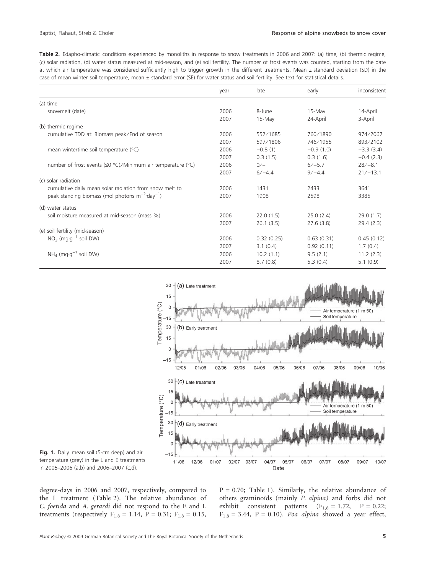Table 2. Edapho-climatic conditions experienced by monoliths in response to snow treatments in 2006 and 2007: (a) time, (b) thermic regime, (c) solar radiation, (d) water status measured at mid-season, and (e) soil fertility. The number of frost events was counted, starting from the date at which air temperature was considered sufficiently high to trigger growth in the different treatments. Mean ± standard deviation (SD) in the case of mean winter soil temperature, mean ± standard error (SE) for water status and soil fertility. See text for statistical details.

|                                                                           | year | late       | early       | inconsistent |
|---------------------------------------------------------------------------|------|------------|-------------|--------------|
| (a) time                                                                  |      |            |             |              |
| snowmelt (date)                                                           | 2006 | 8-June     | 15-May      | 14-April     |
|                                                                           | 2007 | 15-May     | 24-April    | 3-April      |
| (b) thermic regime                                                        |      |            |             |              |
| cumulative TDD at: Biomass peak/End of season                             | 2006 | 552/1685   | 760/1890    | 974/2067     |
|                                                                           | 2007 | 597/1806   | 746/1955    | 893/2102     |
| mean wintertime soil temperature (°C)                                     | 2006 | $-0.8(1)$  | $-0.9(1.0)$ | $-3.3(3.4)$  |
|                                                                           | 2007 | 0.3(1.5)   | 0.3(1.6)    | $-0.4(2.3)$  |
| number of frost events $(\leq 0 \degree C)$ /Minimum air temperature (°C) | 2006 | $0/-$      | $6/-5.7$    | $28/-8.1$    |
|                                                                           | 2007 | $6/-4.4$   | $9/-4.4$    | $21/-13.1$   |
| (c) solar radiation                                                       |      |            |             |              |
| cumulative daily mean solar radiation from snow melt to                   | 2006 | 1431       | 2433        | 3641         |
| peak standing biomass (mol photons $m^{-2}$ -day <sup>-1</sup> )          | 2007 | 1908       | 2598        | 3385         |
| (d) water status                                                          |      |            |             |              |
| soil moisture measured at mid-season (mass %)                             | 2006 | 22.0(1.5)  | 25.0(2.4)   | 29.0(1.7)    |
|                                                                           | 2007 | 26.1(3.5)  | 27.6(3.8)   | 29.4(2.3)    |
| (e) soil fertility (mid-season)                                           |      |            |             |              |
| $NO3$ (mg·g <sup>-1</sup> soil DW)                                        | 2006 | 0.32(0.25) | 0.63(0.31)  | 0.45(0.12)   |
|                                                                           | 2007 | 3.1(0.4)   | 0.92(0.11)  | 1.7(0.4)     |
| $NH4$ (mg·g <sup>-1</sup> soil DW)                                        | 2006 | 10.2(1.1)  | 9.5(2.1)    | 11.2(2.3)    |
|                                                                           | 2007 | 8.7(0.8)   | 5.3(0.4)    | 5.1(0.9)     |



Fig. 1. Daily mean soil (5-cm deep) and air temperature (grey) in the L and E treatments in 2005–2006 (a,b) and 2006–2007 (c,d).

degree-days in 2006 and 2007, respectively, compared to the L treatment (Table 2). The relative abundance of C. foetida and A. gerardi did not respond to the E and L treatments (respectively  $F_{1,8} = 1.14$ ,  $P = 0.31$ ;  $F_{1,8} = 0.15$ ,  $P = 0.70$ ; Table 1). Similarly, the relative abundance of others graminoïds (mainly P. alpina) and forbs did not exhibit consistent patterns  $(F_{1,8} = 1.72, P = 0.22;$  $F_{1,8} = 3.44$ , P = 0.10). Poa alpina showed a year effect,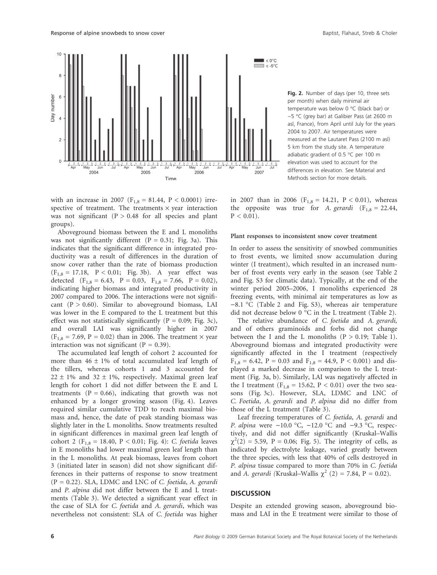

with an increase in 2007 ( $F_{1,8} = 81.44$ ,  $P < 0.0001$ ) irrespective of treatment. The treatments  $\times$  year interaction was not significant ( $P > 0.48$  for all species and plant groups).

Aboveground biomass between the E and L monoliths was not significantly different  $(P = 0.31; Fig. 3a)$ . This indicates that the significant difference in integrated productivity was a result of differences in the duration of snow cover rather than the rate of biomass production  $(F_{1,8} = 17.18, P < 0.01;$  Fig. 3b). A year effect was detected  $(F_{1,8} = 6.43, P = 0.03, F_{1,8} = 7.66, P = 0.02),$ indicating higher biomass and integrated productivity in 2007 compared to 2006. The interactions were not significant  $(P > 0.60)$ . Similar to aboveground biomass, LAI was lower in the E compared to the L treatment but this effect was not statistically significantly ( $P = 0.09$ ; Fig. 3c), and overall LAI was significantly higher in 2007  $(F<sub>1,8</sub> = 7.69, P = 0.02)$  than in 2006. The treatment  $\times$  year interaction was not significant ( $P = 0.39$ ).

The accumulated leaf length of cohort 2 accounted for more than  $46 \pm 1\%$  of total accumulated leaf length of the tillers, whereas cohorts 1 and 3 accounted for  $22 \pm 1\%$  and  $32 \pm 1\%$ , respectively. Maximal green leaf length for cohort 1 did not differ between the E and L treatments ( $P = 0.66$ ), indicating that growth was not enhanced by a longer growing season (Fig. 4). Leaves required similar cumulative TDD to reach maximal biomass and, hence, the date of peak standing biomass was slightly later in the L monoliths. Snow treatments resulted in significant differences in maximal green leaf length of cohort 2 (F<sub>1,8</sub> = 18.40, P < 0.01; Fig. 4): *C. foetida* leaves in E monoliths had lower maximal green leaf length than in the L monoliths. At peak biomass, leaves from cohort 3 (initiated later in season) did not show significant differences in their patterns of response to snow treatment  $(P = 0.22)$ . SLA, LDMC and LNC of C. foetida, A. gerardi and P. alpina did not differ between the E and L treatments (Table 3). We detected a significant year effect in the case of SLA for C. foetida and A. gerardi, which was nevertheless not consistent: SLA of C. foetida was higher

Fig. 2. Number of days (per 10, three sets per month) when daily minimal air temperature was below  $0 °C$  (black bar) or )5 -C (grey bar) at Galibier Pass (at 2600 m asl, France), from April until July for the years 2004 to 2007. Air temperatures were measured at the Lautaret Pass (2100 m asl) 5 km from the study site. A temperature adiabatic gradient of 0.5  $^{\circ}$ C per 100 m elevation was used to account for the differences in elevation. See Material and Methods section for more details.

in 2007 than in 2006 ( $F_{1,8} = 14.21$ ,  $P < 0.01$ ), whereas the opposite was true for A. gerardi  $(F_{1,8} = 22.44,$  $P < 0.01$ ).

#### Plant responses to inconsistent snow cover treatment

In order to assess the sensitivity of snowbed communities to frost events, we limited snow accumulation during winter (I treatment), which resulted in an increased number of frost events very early in the season (see Table 2 and Fig. S3 for climatic data). Typically, at the end of the winter period 2005–2006, I monoliths experienced 28 freezing events, with minimal air temperatures as low as  $-8.1$  °C (Table 2 and Fig. S3), whereas air temperature did not decrease below  $0^{\circ}$ C in the L treatment (Table 2).

The relative abundance of C. foetida and A. gerardi, and of others graminoïds and forbs did not change between the I and the L monoliths  $(P > 0.19;$  Table 1). Aboveground biomass and integrated productivity were significantly affected in the I treatment (respectively  $F_{1,8} = 6.42$ ,  $P = 0.03$  and  $F_{1,8} = 44.9$ ,  $P < 0.001$ ) and displayed a marked decrease in comparison to the L treatment (Fig. 3a, b). Similarly, LAI was negatively affected in the I treatment ( $F_{1,8} = 15.62$ ,  $P < 0.01$ ) over the two seasons (Fig. 3c). However, SLA, LDMC and LNC of C. Foetida, A. gerardi and P. alpina did no differ from those of the L treatment (Table 3).

Leaf freezing temperatures of C. foetida, A. gerardi and P. alpina were  $-10.0$  °C,  $-12.0$  °C and  $-9.3$  °C, respectively, and did not differ significantly (Kruskal–Wallis  $\chi^2(2) = 5.59$ , P = 0.06; Fig. 5). The integrity of cells, as indicated by electrolyte leakage, varied greatly between the three species, with less that 40% of cells destroyed in P. alpina tissue compared to more than 70% in C. foetida and A. gerardi (Kruskal–Wallis  $\chi^2$  (2) = 7.84, P = 0.02).

## **DISCUSSION**

Despite an extended growing season, aboveground biomass and LAI in the E treatment were similar to those of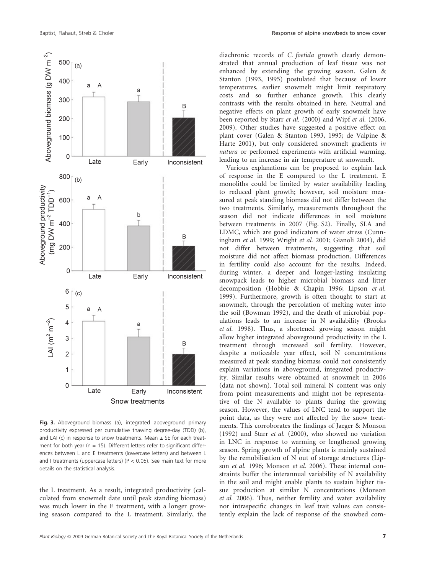

Fig. 3. Aboveground biomass (a), integrated aboveground primary productivity expressed per cumulative thawing degree-day (TDD) (b), and LAI (c) in response to snow treatments. Mean  $\pm$  SE for each treatment for both year ( $n = 15$ ). Different letters refer to significant differences between L and E treatments (lowercase letters) and between L and I treatments (uppercase letters) ( $P < 0.05$ ). See main text for more details on the statistical analysis.

the L treatment. As a result, integrated productivity (calculated from snowmelt date until peak standing biomass) was much lower in the E treatment, with a longer growing season compared to the L treatment. Similarly, the diachronic records of C. foetida growth clearly demonstrated that annual production of leaf tissue was not enhanced by extending the growing season. Galen & Stanton (1993, 1995) postulated that because of lower temperatures, earlier snowmelt might limit respiratory costs and so further enhance growth. This clearly contrasts with the results obtained in here. Neutral and negative effects on plant growth of early snowmelt have been reported by Starr et al. (2000) and Wipf et al. (2006, 2009). Other studies have suggested a positive effect on plant cover (Galen & Stanton 1993, 1995; de Valpine & Harte 2001), but only considered snowmelt gradients in natura or performed experiments with artificial warming, leading to an increase in air temperature at snowmelt.

Various explanations can be proposed to explain lack of response in the E compared to the L treatment. E monoliths could be limited by water availability leading to reduced plant growth; however, soil moisture measured at peak standing biomass did not differ between the two treatments. Similarly, measurements throughout the season did not indicate differences in soil moisture between treatments in 2007 (Fig. S2). Finally, SLA and LDMC, which are good indicators of water stress (Cunningham et al. 1999; Wright et al. 2001; Gianoli 2004), did not differ between treatments, suggesting that soil moisture did not affect biomass production. Differences in fertility could also account for the results. Indeed, during winter, a deeper and longer-lasting insulating snowpack leads to higher microbial biomass and litter decomposition (Hobbie & Chapin 1996; Lipson et al. 1999). Furthermore, growth is often thought to start at snowmelt, through the percolation of melting water into the soil (Bowman 1992), and the death of microbial populations leads to an increase in N availability (Brooks et al. 1998). Thus, a shortened growing season might allow higher integrated aboveground productivity in the L treatment through increased soil fertility. However, despite a noticeable year effect, soil N concentrations measured at peak standing biomass could not consistently explain variations in aboveground, integrated productivity. Similar results were obtained at snowmelt in 2006 (data not shown). Total soil mineral N content was only from point measurements and might not be representative of the N available to plants during the growing season. However, the values of LNC tend to support the point data, as they were not affected by the snow treatments. This corroborates the findings of Jaeger & Monson (1992) and Starr et al. (2000), who showed no variation in LNC in response to warming or lengthened growing season. Spring growth of alpine plants is mainly sustained by the remobilisation of N out of storage structures (Lipson et al. 1996; Monson et al. 2006). These internal constraints buffer the interannual variability of N availability in the soil and might enable plants to sustain higher tissue production at similar N concentrations (Monson et al. 2006). Thus, neither fertility and water availability nor intraspecific changes in leaf trait values can consistently explain the lack of response of the snowbed com-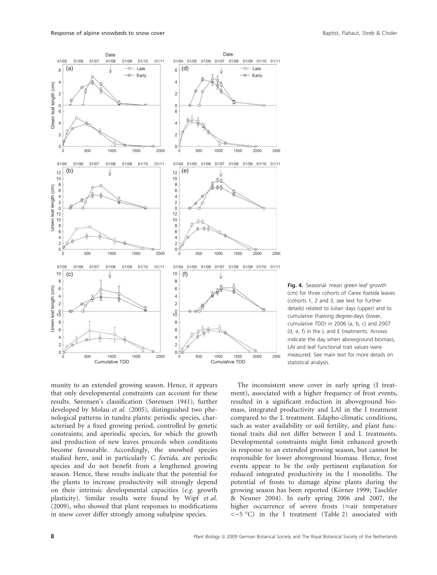

Fig. 4. Seasonal mean green leaf growth (cm) for three cohorts of Carex foetida leaves (cohorts 1, 2 and 3, see text for further details) related to Julian days (upper) and to cumulative thawing degree-days (lower, cumulative TDD) in 2006 (a, b, c) and 2007 (d, e, f) in the L and E treatments. Arrows indicate the day when aboveground biomass, LAI and leaf functional trait values were measured. See main text for more details on statistical analysis.

munity to an extended growing season. Hence, it appears that only developmental constraints can account for these results. Sørensen's classification (Sørensen 1941), further developed by Molau et al. (2005), distinguished two phenological patterns in tundra plants: periodic species, characterised by a fixed growing period, controlled by genetic constraints; and aperiodic species, for which the growth and production of new leaves proceeds when conditions become favourable. Accordingly, the snowbed species studied here, and in particularly C. foetida, are periodic species and do not benefit from a lengthened growing season. Hence, these results indicate that the potential for the plants to increase productivity will strongly depend on their intrinsic developmental capacities (e.g. growth plasticity). Similar results were found by Wipf et al. (2009), who showed that plant responses to modifications in snow cover differ strongly among subalpine species.

The inconsistent snow cover in early spring (I treatment), associated with a higher frequency of frost events, resulted in a significant reduction in aboveground biomass, integrated productivity and LAI in the I treatment compared to the L treatment. Edapho-climatic conditions, such as water availability or soil fertility, and plant functional traits did not differ between I and L treatments. Developmental constraints might limit enhanced growth in response to an extended growing season, but cannot be responsible for lower aboveground biomass. Hence, frost events appear to be the only pertinent explanation for reduced integrated productivity in the I monoliths. The potential of frosts to damage alpine plants during the growing season has been reported (Körner 1999; Taschler & Neuner 2004). In early spring 2006 and 2007, the higher occurrence of severe frosts ( $\approx$ air temperature  $<-5$  °C) in the I treatment (Table 2) associated with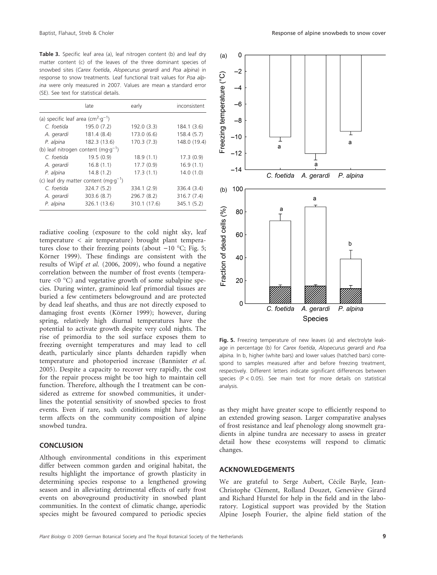Table 3. Specific leaf area (a), leaf nitrogen content (b) and leaf dry matter content (c) of the leaves of the three dominant species of snowbed sites (Carex foetida, Alopecurus gerardi and Poa alpina) in response to snow treatments. Leaf functional trait values for Poa alpina were only measured in 2007. Values are mean  $\pm$  standard error (SE). See text for statistical details.

|                                                            | late                                              | early        | inconsistent |
|------------------------------------------------------------|---------------------------------------------------|--------------|--------------|
| (a) specific leaf area $\text{(cm}^2 \cdot \text{g}^{-1})$ |                                                   |              |              |
| C. foetida                                                 | 195.0 (7.2)                                       | 192.0 (3.3)  | 184.1(3.6)   |
| A. gerardi                                                 | 181.4 (8.4)                                       | 173.0 (6.6)  | 158.4(5.7)   |
| P. alpina                                                  | 182.3 (13.6)                                      | 170.3(7.3)   | 148.0 (19.4) |
|                                                            | (b) leaf nitrogen content (mg·g <sup>-1</sup> )   |              |              |
| C. foetida                                                 | 19.5(0.9)                                         | 18.9(1.1)    | 17.3(0.9)    |
| A. gerardi                                                 | 16.8(1.1)                                         | 17.7(0.9)    | 16.9(1.1)    |
| P. alpina                                                  | 14.8(1.2)                                         | 17.3(1.1)    | 14.0(1.0)    |
|                                                            | (c) leaf dry matter content (mg·g <sup>-1</sup> ) |              |              |
| C. foetida                                                 | 324.7 (5.2)                                       | 334.1 (2.9)  | 336.4 (3.4)  |
| A. gerardi                                                 | 303.6 (8.7)                                       | 296.7 (8.2)  | 316.7 (7.4)  |
| P. alpina                                                  | 326.1 (13.6)                                      | 310.1 (17.6) | 345.1 (5.2)  |

radiative cooling (exposure to the cold night sky, leaf temperature < air temperature) brought plant temperatures close to their freezing points (about  $-10$  °C; Fig. 5; Körner 1999). These findings are consistent with the results of Wipf et al. (2006, 2009), who found a negative correlation between the number of frost events (temperature  $\langle 0 \, ^\circ \text{C} \rangle$  and vegetative growth of some subalpine species. During winter, graminoid leaf primordial tissues are buried a few centimeters belowground and are protected by dead leaf sheaths, and thus are not directly exposed to damaging frost events (Körner 1999); however, during spring, relatively high diurnal temperatures have the potential to activate growth despite very cold nights. The rise of primordia to the soil surface exposes them to freezing overnight temperatures and may lead to cell death, particularly since plants deharden rapidly when temperature and photoperiod increase (Bannister et al. 2005). Despite a capacity to recover very rapidly, the cost for the repair process might be too high to maintain cell function. Therefore, although the I treatment can be considered as extreme for snowbed communities, it underlines the potential sensitivity of snowbed species to frost events. Even if rare, such conditions might have longterm affects on the community composition of alpine snowbed tundra.

# **CONCLUSION**

Although environmental conditions in this experiment differ between common garden and original habitat, the results highlight the importance of growth plasticity in determining species response to a lengthened growing season and in alleviating detrimental effects of early frost events on aboveground productivity in snowbed plant communities. In the context of climatic change, aperiodic species might be favoured compared to periodic species



Fig. 5. Freezing temperature of new leaves (a) and electrolyte leakage in percentage (b) for Carex foetida, Alopecurus gerardi and Poa alpina. In b, higher (white bars) and lower values (hatched bars) correspond to samples measured after and before freezing treatment, respectively. Different letters indicate significant differences between species (P < 0.05). See main text for more details on statistical analysis.

as they might have greater scope to efficiently respond to an extended growing season. Larger comparative analyses of frost resistance and leaf phenology along snowmelt gradients in alpine tundra are necessary to assess in greater detail how these ecosystems will respond to climatic changes.

# ACKNOWLEDGEMENTS

We are grateful to Serge Aubert, Cécile Bayle, Jean-Christophe Clément, Rolland Douzet, Geneviève Girard and Richard Hurstel for help in the field and in the laboratory. Logistical support was provided by the Station Alpine Joseph Fourier, the alpine field station of the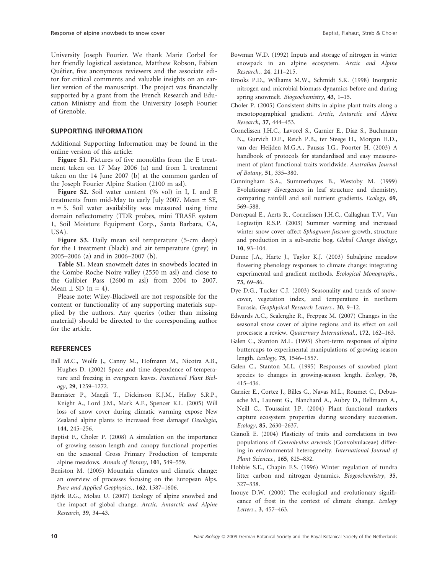University Joseph Fourier. We thank Marie Corbel for her friendly logistical assistance, Matthew Robson, Fabien Quétier, five anonymous reviewers and the associate editor for critical comments and valuable insights on an earlier version of the manuscript. The project was financially supported by a grant from the French Research and Education Ministry and from the University Joseph Fourier of Grenoble.

# SUPPORTING INFORMATION

Additional Supporting Information may be found in the online version of this article:

Figure S1. Pictures of five monoliths from the E treatment taken on 17 May 2006 (a) and from L treatment taken on the 14 June 2007 (b) at the common garden of the Joseph Fourier Alpine Station (2100 m asl).

Figure S2. Soil water content (% vol) in I, L and E treatments from mid-May to early July 2007. Mean  $\pm$  SE,  $n = 5$ . Soil water availability was measured using time domain reflectometry (TDR probes, mini TRASE system 1, Soil Moisture Equipment Corp., Santa Barbara, CA, USA).

Figure S3. Daily mean soil temperature (5-cm deep) for the I treatment (black) and air temperature (grey) in 2005–2006 (a) and in 2006–2007 (b).

Table S1. Mean snowmelt dates in snowbeds located in the Combe Roche Noire valley (2550 m asl) and close to the Galibier Pass (2600 m asl) from 2004 to 2007. Mean  $\pm$  SD (n = 4).

Please note: Wiley-Blackwell are not responsible for the content or functionality of any supporting materials supplied by the authors. Any queries (other than missing material) should be directed to the corresponding author for the article.

# **REFERENCES**

- Ball M.C., Wolfe J., Canny M., Hofmann M., Nicotra A.B., Hughes D. (2002) Space and time dependence of temperature and freezing in evergreen leaves. Functional Plant Biology, 29, 1259–1272.
- Bannister P., Maegli T., Dickinson K.J.M., Halloy S.R.P., Knight A., Lord J.M., Mark A.F., Spencer K.L. (2005) Will loss of snow cover during climatic warming expose New Zealand alpine plants to increased frost damage? Oecologia, 144, 245–256.
- Baptist F., Choler P. (2008) A simulation on the importance of growing season length and canopy functional properties on the seasonal Gross Primary Production of temperate alpine meadows. Annals of Botany, 101, 549–559.
- Beniston M. (2005) Mountain climates and climatic change: an overview of processes focusing on the European Alps. Pure and Applied Geophysics., 162, 1587–1606.
- Björk R.G., Molau U. (2007) Ecology of alpine snowbed and the impact of global change. Arctic, Antarctic and Alpine Research, 39, 34–43.
- Bowman W.D. (1992) Inputs and storage of nitrogen in winter snowpack in an alpine ecosystem. Arctic and Alpine Research., 24, 211–215.
- Brooks P.D., Williams M.W., Schmidt S.K. (1998) Inorganic nitrogen and microbial biomass dynamics before and during spring snowmelt. Biogeochemistry, 43, 1–15.
- Choler P. (2005) Consistent shifts in alpine plant traits along a mesotopographical gradient. Arctic, Antarctic and Alpine Research, 37, 444–453.
- Cornelissen J.H.C., Lavorel S., Garnier E., Diaz S., Buchmann N., Gurvich D.E., Reich P.B., ter Steege H., Morgan H.D., van der Heijden M.G.A., Pausas J.G., Poorter H. (2003) A handbook of protocols for standardised and easy measurement of plant functional traits worldwide. Australian Journal of Botany, 51, 335–380.
- Cunningham S.A., Summerhayes B., Westoby M. (1999) Evolutionary divergences in leaf structure and chemistry, comparing rainfall and soil nutrient gradients. Ecology, 69, 569–588.
- Dorrepaal E., Aerts R., Cornelissen J.H.C., Callaghan T.V., Van Logtestijn R.S.P. (2003) Summer warming and increased winter snow cover affect Sphagnum fuscum growth, structure and production in a sub-arctic bog. Global Change Biology, 10, 93–104.
- Dunne J.A., Harte J., Taylor K.J. (2003) Subalpine meadow flowering phenology responses to climate change: integrating experimental and gradient methods. Ecological Monographs., 73, 69–86.
- Dye D.G., Tucker C.J. (2003) Seasonality and trends of snowcover, vegetation index, and temperature in northern Eurasia. Geophysical Research Letters., 30, 9–12.
- Edwards A.C., Scalenghe R., Freppaz M. (2007) Changes in the seasonal snow cover of alpine regions and its effect on soil processes: a review. Quaternary International., 172, 162–163.
- Galen C., Stanton M.L. (1993) Short-term responses of alpine buttercups to experimental manipulations of growing season length. Ecology, 75, 1546–1557.
- Galen C., Stanton M.L. (1995) Responses of snowbed plant species to changes in growing-season length. Ecology, 76, 415–436.
- Garnier E., Cortez J., Billes G., Navas M.L., Roumet C., Debussche M., Laurent G., Blanchard A., Aubry D., Bellmann A., Neill C., Toussaint J.P. (2004) Plant functional markers capture ecosystem properties during secondary succession. Ecology, 85, 2630–2637.
- Gianoli E. (2004) Plasticity of traits and correlations in two populations of Convolvulus arvensis (Convolvulaceae) differing in environmental heterogeneity. International Journal of Plant Sciences., 165, 825–832.
- Hobbie S.E., Chapin F.S. (1996) Winter regulation of tundra litter carbon and nitrogen dynamics. Biogeochemistry, 35, 327–338.
- Inouye D.W. (2000) The ecological and evolutionary significance of frost in the context of climate change. Ecology Letters., 3, 457–463.